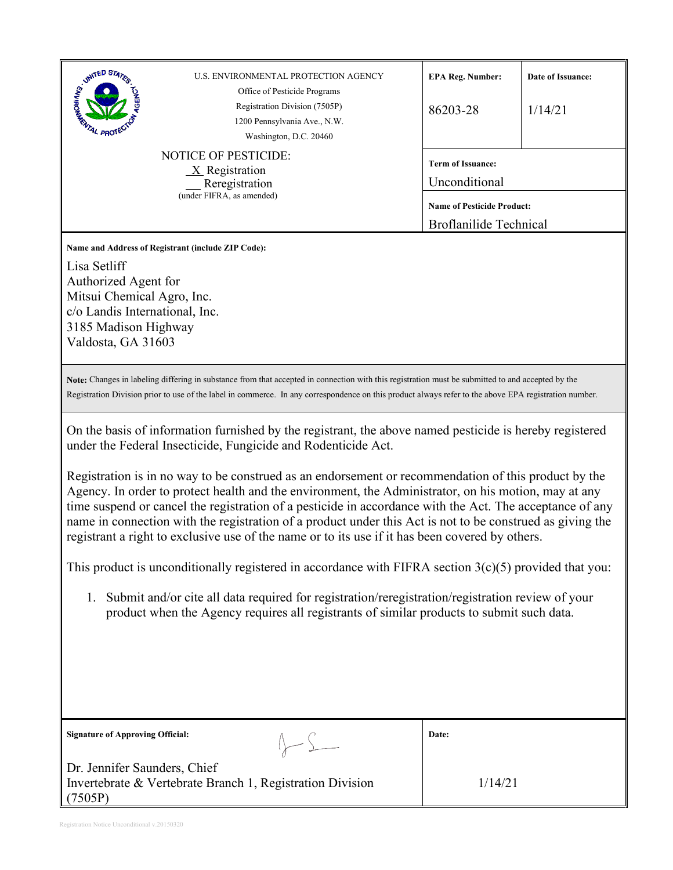| UNITED STATES<br>U.S. ENVIRONMENTAL PROTECTION AGENCY<br><b>INSTRUCTION AND INCORPORATION</b><br>Office of Pesticide Programs<br>Registration Division (7505P)<br>1200 Pennsylvania Ave., N.W.<br>Washington, D.C. 20460<br><b>NOTICE OF PESTICIDE:</b><br>$X$ Registration<br>Reregistration<br>(under FIFRA, as amended)                                                                                                                                                                                                                                                                                                                                                                                                                                                                                                                                                                                                                                                                                                                                                                                                                                                                       | <b>EPA Reg. Number:</b><br>86203-28<br><b>Term of Issuance:</b><br>Unconditional<br><b>Name of Pesticide Product:</b> | Date of Issuance:<br>1/14/21 |
|--------------------------------------------------------------------------------------------------------------------------------------------------------------------------------------------------------------------------------------------------------------------------------------------------------------------------------------------------------------------------------------------------------------------------------------------------------------------------------------------------------------------------------------------------------------------------------------------------------------------------------------------------------------------------------------------------------------------------------------------------------------------------------------------------------------------------------------------------------------------------------------------------------------------------------------------------------------------------------------------------------------------------------------------------------------------------------------------------------------------------------------------------------------------------------------------------|-----------------------------------------------------------------------------------------------------------------------|------------------------------|
| Name and Address of Registrant (include ZIP Code):<br>Lisa Setliff<br>Authorized Agent for<br>Mitsui Chemical Agro, Inc.<br>c/o Landis International, Inc.<br>3185 Madison Highway<br>Valdosta, GA 31603<br>Note: Changes in labeling differing in substance from that accepted in connection with this registration must be submitted to and accepted by the                                                                                                                                                                                                                                                                                                                                                                                                                                                                                                                                                                                                                                                                                                                                                                                                                                    | <b>Broflanilide Technical</b>                                                                                         |                              |
| Registration Division prior to use of the label in commerce. In any correspondence on this product always refer to the above EPA registration number.<br>On the basis of information furnished by the registrant, the above named pesticide is hereby registered<br>under the Federal Insecticide, Fungicide and Rodenticide Act.<br>Registration is in no way to be construed as an endorsement or recommendation of this product by the<br>Agency. In order to protect health and the environment, the Administrator, on his motion, may at any<br>time suspend or cancel the registration of a pesticide in accordance with the Act. The acceptance of any<br>name in connection with the registration of a product under this Act is not to be construed as giving the<br>registrant a right to exclusive use of the name or to its use if it has been covered by others.<br>This product is unconditionally registered in accordance with FIFRA section $3(c)(5)$ provided that you:<br>Submit and/or cite all data required for registration/reregistration/registration review of your<br>1.<br>product when the Agency requires all registrants of similar products to submit such data. |                                                                                                                       |                              |
| <b>Signature of Approving Official:</b>                                                                                                                                                                                                                                                                                                                                                                                                                                                                                                                                                                                                                                                                                                                                                                                                                                                                                                                                                                                                                                                                                                                                                          | Date:                                                                                                                 |                              |
| Dr. Jennifer Saunders, Chief<br>Invertebrate & Vertebrate Branch 1, Registration Division<br>(7505P)                                                                                                                                                                                                                                                                                                                                                                                                                                                                                                                                                                                                                                                                                                                                                                                                                                                                                                                                                                                                                                                                                             | 1/14/21                                                                                                               |                              |

Registration Notice Unconditional v.20150320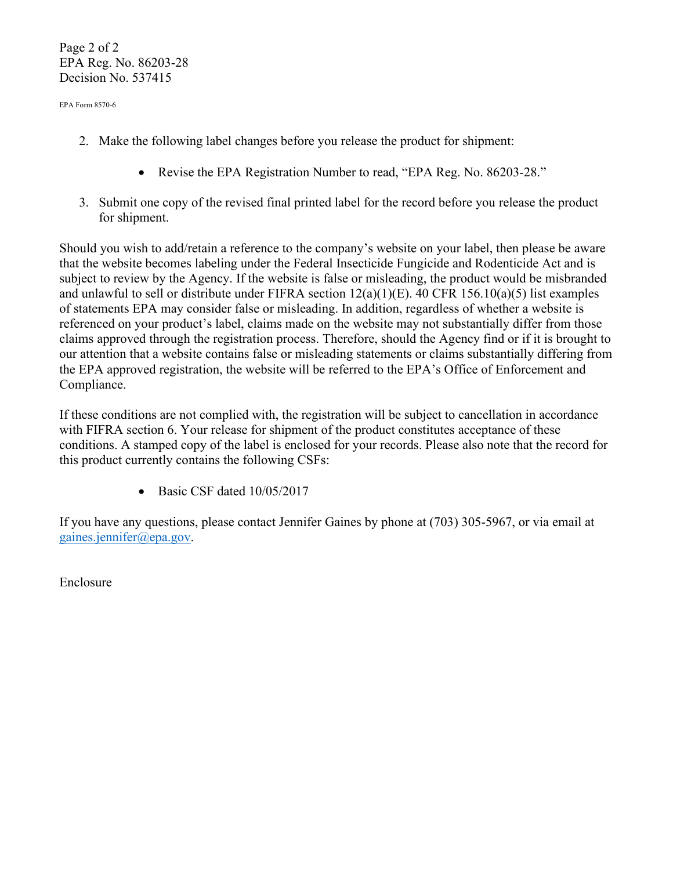Page 2 of 2 EPA Reg. No. 86203-28 Decision No. 537415

EPA Form 8570-6

- 2. Make the following label changes before you release the product for shipment:
	- Revise the EPA Registration Number to read, "EPA Reg. No. 86203-28."
- 3. Submit one copy of the revised final printed label for the record before you release the product for shipment.

Should you wish to add/retain a reference to the company's website on your label, then please be aware that the website becomes labeling under the Federal Insecticide Fungicide and Rodenticide Act and is subject to review by the Agency. If the website is false or misleading, the product would be misbranded and unlawful to sell or distribute under FIFRA section 12(a)(1)(E). 40 CFR 156.10(a)(5) list examples of statements EPA may consider false or misleading. In addition, regardless of whether a website is referenced on your product's label, claims made on the website may not substantially differ from those claims approved through the registration process. Therefore, should the Agency find or if it is brought to our attention that a website contains false or misleading statements or claims substantially differing from the EPA approved registration, the website will be referred to the EPA's Office of Enforcement and Compliance.

If these conditions are not complied with, the registration will be subject to cancellation in accordance with FIFRA section 6. Your release for shipment of the product constitutes acceptance of these conditions. A stamped copy of the label is enclosed for your records. Please also note that the record for this product currently contains the following CSFs:

• Basic CSF dated  $10/05/2017$ 

If you have any questions, please contact Jennifer Gaines by phone at (703) 305-5967, or via email at [gaines.jennifer@epa.gov.](mailto:gaines.jennifer@epa.gov)

Enclosure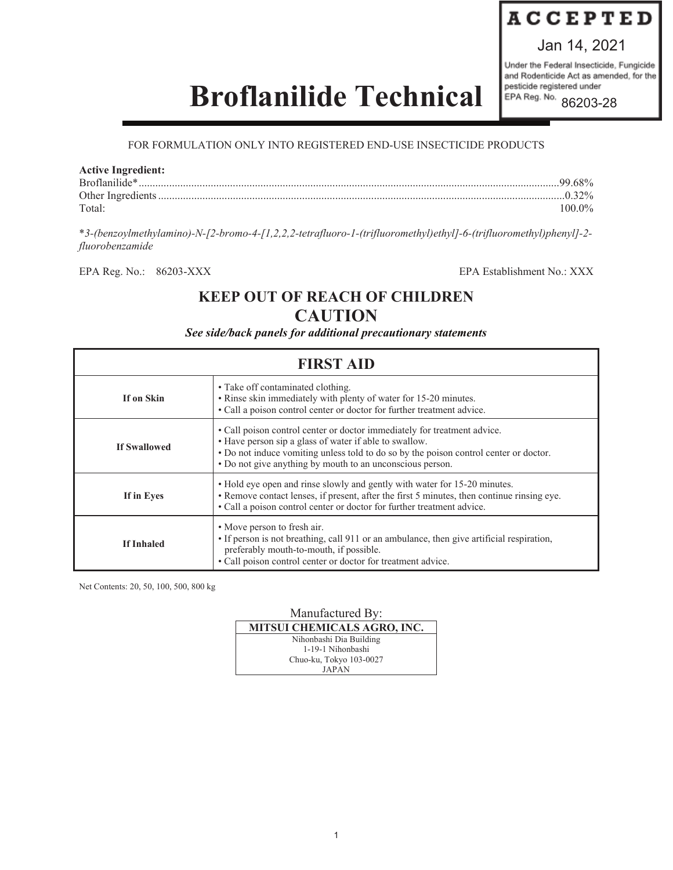# **ACCEPTED**

Jan 14, 2021

Under the Federal Insecticide, Fungicide and Rodenticide Act as amended, for the pesticide registered under EPA Reg. No. 86203-28

# **Broflanilide Technical**

# FOR FORMULATION ONLY INTO REGISTERED END-USE INSECTICIDE PRODUCTS

## **Active Ingredient:**

| Broflanilide* |        |
|---------------|--------|
|               |        |
| Total:        | 100.0% |

\**3-(benzoylmethylamino)-N-[2-bromo-4-[1,2,2,2-tetrafluoro-1-(trifluoromethyl)ethyl]-6-(trifluoromethyl)phenyl]-2 fluorobenzamide*

EPA Reg. No.: 86203-XXX EPA Establishment No.: XXX

# **KEEP OUT OF REACH OF CHILDREN CAUTION**

*See side/back panels for additional precautionary statements*

| <b>FIRST AID</b>    |                                                                                                                                                                                                                                                                                          |  |
|---------------------|------------------------------------------------------------------------------------------------------------------------------------------------------------------------------------------------------------------------------------------------------------------------------------------|--|
| If on Skin          | • Take off contaminated clothing.<br>• Rinse skin immediately with plenty of water for 15-20 minutes.<br>• Call a poison control center or doctor for further treatment advice.                                                                                                          |  |
| <b>If Swallowed</b> | • Call poison control center or doctor immediately for treatment advice.<br>• Have person sip a glass of water if able to swallow.<br>• Do not induce vomiting unless told to do so by the poison control center or doctor.<br>• Do not give anything by mouth to an unconscious person. |  |
| If in Eyes          | • Hold eye open and rinse slowly and gently with water for 15-20 minutes.<br>• Remove contact lenses, if present, after the first 5 minutes, then continue rinsing eye.<br>• Call a poison control center or doctor for further treatment advice.                                        |  |
| <b>If Inhaled</b>   | • Move person to fresh air.<br>• If person is not breathing, call 911 or an ambulance, then give artificial respiration,<br>preferably mouth-to-mouth, if possible.<br>• Call poison control center or doctor for treatment advice.                                                      |  |

Net Contents: 20, 50, 100, 500, 800 kg

Manufactured By: **MITSUI CHEMICALS AGRO, INC.** Nihonbashi Dia Building 1-19-1 Nihonbashi Chuo-ku, Tokyo 103-0027 JAPAN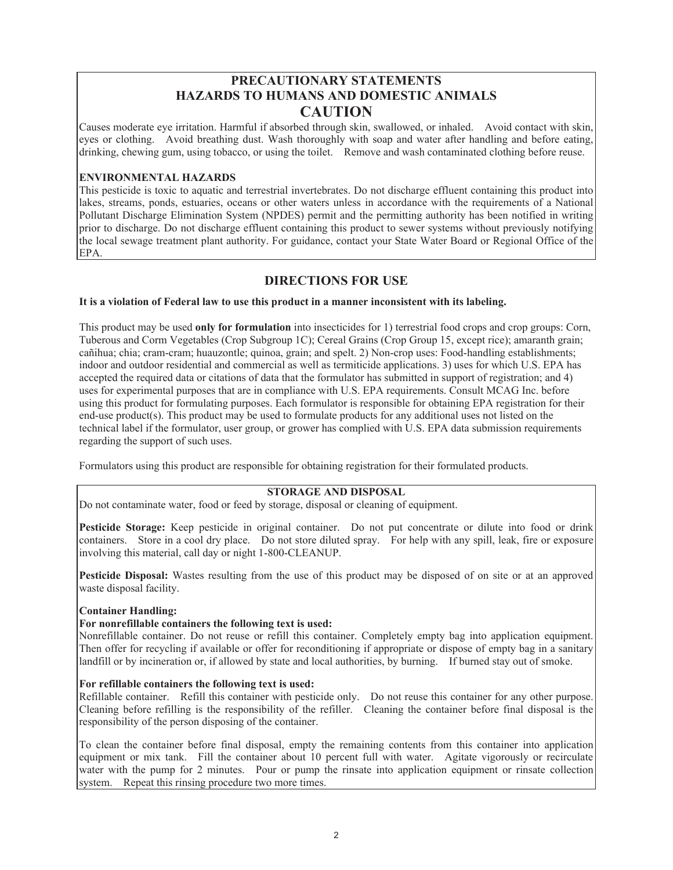# **PRECAUTIONARY STATEMENTS HAZARDS TO HUMANS AND DOMESTIC ANIMALS CAUTION**

Causes moderate eye irritation. Harmful if absorbed through skin, swallowed, or inhaled. Avoid contact with skin, eyes or clothing. Avoid breathing dust. Wash thoroughly with soap and water after handling and before eating, drinking, chewing gum, using tobacco, or using the toilet. Remove and wash contaminated clothing before reuse.

# **ENVIRONMENTAL HAZARDS**

This pesticide is toxic to aquatic and terrestrial invertebrates. Do not discharge effluent containing this product into lakes, streams, ponds, estuaries, oceans or other waters unless in accordance with the requirements of a National Pollutant Discharge Elimination System (NPDES) permit and the permitting authority has been notified in writing prior to discharge. Do not discharge effluent containing this product to sewer systems without previously notifying the local sewage treatment plant authority. For guidance, contact your State Water Board or Regional Office of the EPA.

# **DIRECTIONS FOR USE**

## **It is a violation of Federal law to use this product in a manner inconsistent with its labeling.**

This product may be used **only for formulation** into insecticides for 1) terrestrial food crops and crop groups: Corn, Tuberous and Corm Vegetables (Crop Subgroup 1C); Cereal Grains (Crop Group 15, except rice); amaranth grain; cañihua; chia; cram-cram; huauzontle; quinoa, grain; and spelt. 2) Non-crop uses: Food-handling establishments; indoor and outdoor residential and commercial as well as termiticide applications. 3) uses for which U.S. EPA has accepted the required data or citations of data that the formulator has submitted in support of registration; and 4) uses for experimental purposes that are in compliance with U.S. EPA requirements. Consult MCAG Inc. before using this product for formulating purposes. Each formulator is responsible for obtaining EPA registration for their end-use product(s). This product may be used to formulate products for any additional uses not listed on the technical label if the formulator, user group, or grower has complied with U.S. EPA data submission requirements regarding the support of such uses.

Formulators using this product are responsible for obtaining registration for their formulated products.

## **STORAGE AND DISPOSAL**

Do not contaminate water, food or feed by storage, disposal or cleaning of equipment.

**Pesticide Storage:** Keep pesticide in original container. Do not put concentrate or dilute into food or drink containers. Store in a cool dry place. Do not store diluted spray. For help with any spill, leak, fire or exposure involving this material, call day or night 1-800-CLEANUP.

**Pesticide Disposal:** Wastes resulting from the use of this product may be disposed of on site or at an approved waste disposal facility.

## **Container Handling:**

## **For nonrefillable containers the following text is used:**

Nonrefillable container. Do not reuse or refill this container. Completely empty bag into application equipment. Then offer for recycling if available or offer for reconditioning if appropriate or dispose of empty bag in a sanitary landfill or by incineration or, if allowed by state and local authorities, by burning. If burned stay out of smoke.

## **For refillable containers the following text is used:**

Refillable container. Refill this container with pesticide only. Do not reuse this container for any other purpose. Cleaning before refilling is the responsibility of the refiller. Cleaning the container before final disposal is the responsibility of the person disposing of the container.

To clean the container before final disposal, empty the remaining contents from this container into application equipment or mix tank. Fill the container about 10 percent full with water. Agitate vigorously or recirculate water with the pump for 2 minutes. Pour or pump the rinsate into application equipment or rinsate collection system. Repeat this rinsing procedure two more times.